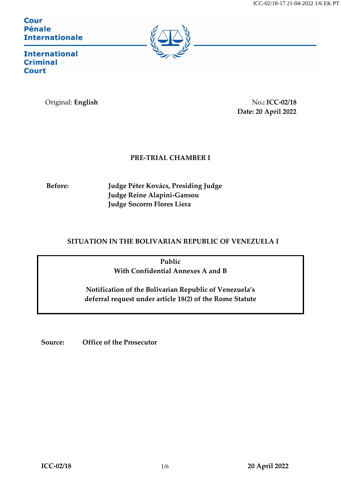**Cour Pénale Internationale** 



**International Criminal Court** 

Original: **English** No**.: ICC-02/18 Date: 20 April 2022**

## **PRE-TRIAL CHAMBER I**

**Before: Judge Péter Kovács, Presiding Judge Judge Reine Alapini-Gansou Judge Socorro Flores Liera**

## **SITUATION IN THE BOLIVARIAN REPUBLIC OF VENEZUELA I**

**Public With Confidential Annexes A and B**

**Notification of the Bolivarian Republic of Venezuela's deferral request under article 18(2) of the Rome Statute**

**Source: Office of the Prosecutor**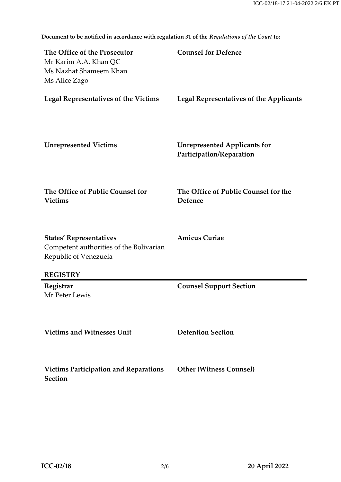| The Office of the Prosecutor<br>Mr Karim A.A. Khan QC<br>Ms Nazhat Shameem Khan<br>Ms Alice Zago   | <b>Counsel for Defence</b>                                      |
|----------------------------------------------------------------------------------------------------|-----------------------------------------------------------------|
| <b>Legal Representatives of the Victims</b>                                                        | <b>Legal Representatives of the Applicants</b>                  |
| <b>Unrepresented Victims</b>                                                                       | <b>Unrepresented Applicants for</b><br>Participation/Reparation |
| The Office of Public Counsel for<br><b>Victims</b>                                                 | The Office of Public Counsel for the<br>Defence                 |
| <b>States' Representatives</b><br>Competent authorities of the Bolivarian<br>Republic of Venezuela | <b>Amicus Curiae</b>                                            |
| <b>REGISTRY</b>                                                                                    |                                                                 |
| Registrar<br>Mr Peter Lewis                                                                        | <b>Counsel Support Section</b>                                  |
| <b>Victims and Witnesses Unit</b>                                                                  | <b>Detention Section</b>                                        |
| <b>Victims Participation and Reparations</b><br>Section                                            | <b>Other (Witness Counsel)</b>                                  |

**Document to be notified in accordance with regulation 31 of the** *Regulations of the Court* **to:**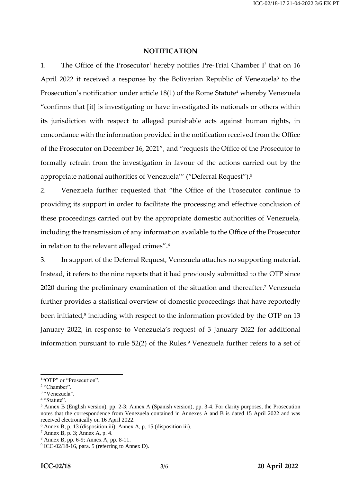## **NOTIFICATION**

1. The Office of the Prosecutor<sup>1</sup> hereby notifies Pre-Trial Chamber  $I<sup>2</sup>$  that on 16 April 2022 it received a response by the Bolivarian Republic of Venezuela<sup>3</sup> to the Prosecution's notification under article 18(1) of the Rome Statute<sup>4</sup> whereby Venezuela "confirms that [it] is investigating or have investigated its nationals or others within its jurisdiction with respect to alleged punishable acts against human rights, in concordance with the information provided in the notification received from the Office of the Prosecutor on December 16, 2021", and "requests the Office of the Prosecutor to formally refrain from the investigation in favour of the actions carried out by the appropriate national authorities of Venezuela'" ("Deferral Request"). 5

2. Venezuela further requested that "the Office of the Prosecutor continue to providing its support in order to facilitate the processing and effective conclusion of these proceedings carried out by the appropriate domestic authorities of Venezuela, including the transmission of any information available to the Office of the Prosecutor in relation to the relevant alleged crimes".<sup>6</sup>

3. In support of the Deferral Request, Venezuela attaches no supporting material. Instead, it refers to the nine reports that it had previously submitted to the OTP since 2020 during the preliminary examination of the situation and thereafter.<sup>7</sup> Venezuela further provides a statistical overview of domestic proceedings that have reportedly been initiated,<sup>8</sup> including with respect to the information provided by the OTP on 13 January 2022, in response to Venezuela's request of 3 January 2022 for additional information pursuant to rule 52(2) of the Rules. <sup>9</sup> Venezuela further refers to a set of

 $\overline{a}$ 

<sup>&</sup>lt;sup>1"</sup>OTP" or "Prosecution".

<sup>&</sup>lt;sup>2</sup> "Chamber".

<sup>3</sup> "Venezuela".

<sup>&</sup>lt;sup>4</sup> "Statute".

<sup>5</sup> Annex B (English version), pp. 2-3; Annex A (Spanish version), pp. 3-4. For clarity purposes, the Prosecution notes that the correspondence from Venezuela contained in Annexes A and B is dated 15 April 2022 and was received electronically on 16 April 2022.

<sup>6</sup> Annex B, p. 13 (disposition iii); Annex A, p. 15 (disposition iii).

<sup>7</sup> Annex B, p. 3; Annex A, p. 4.

<sup>8</sup> Annex B, pp. 6-9; Annex A, pp. 8-11.

<sup>9</sup> ICC-02/18-16, para. 5 (referring to Annex D).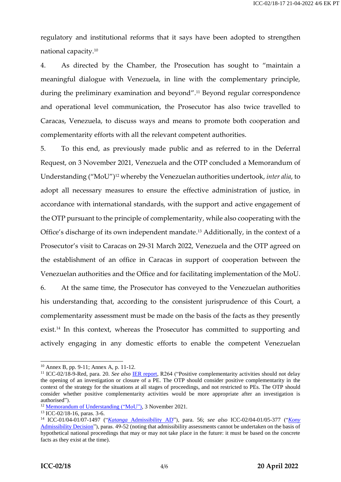regulatory and institutional reforms that it says have been adopted to strengthen national capacity.<sup>10</sup>

4. As directed by the Chamber, the Prosecution has sought to "maintain a meaningful dialogue with Venezuela, in line with the complementary principle, during the preliminary examination and beyond".<sup>11</sup> Beyond regular correspondence and operational level communication, the Prosecutor has also twice travelled to Caracas, Venezuela, to discuss ways and means to promote both cooperation and complementarity efforts with all the relevant competent authorities.

5. To this end, as previously made public and as referred to in the Deferral Request, on 3 November 2021, Venezuela and the OTP concluded a Memorandum of Understanding ("MoU")<sup>12</sup> whereby the Venezuelan authorities undertook, *inter alia*, to adopt all necessary measures to ensure the effective administration of justice, in accordance with international standards, with the support and active engagement of the OTP pursuant to the principle of complementarity, while also cooperating with the Office's discharge of its own independent mandate. <sup>13</sup> Additionally, in the context of a Prosecutor's visit to Caracas on 29-31 March 2022, Venezuela and the OTP agreed on the establishment of an office in Caracas in support of cooperation between the Venezuelan authorities and the Office and for facilitating implementation of the MoU.

6. At the same time, the Prosecutor has conveyed to the Venezuelan authorities his understanding that, according to the consistent jurisprudence of this Court, a complementarity assessment must be made on the basis of the facts as they presently exist.<sup>14</sup> In this context, whereas the Prosecutor has committed to supporting and actively engaging in any domestic efforts to enable the competent Venezuelan

 $\overline{\phantom{a}}$ 

<sup>10</sup> Annex B, pp. 9-11; Annex A, p. 11-12.

<sup>11</sup> ICC-02/18-9-Red, para. 20. *See also* [IER report,](https://asp.icc-cpi.int/sites/asp/files/asp_docs/ASP19/IER-Final-Report-ENG.pdf) R264 ("Positive complementarity activities should not delay the opening of an investigation or closure of a PE. The OTP should consider positive complementarity in the context of the strategy for the situations at all stages of proceedings, and not restricted to PEs. The OTP should consider whether positive complementarity activities would be more appropriate after an investigation is authorised").

<sup>&</sup>lt;sup>12</sup> [Memorandum of Understanding](https://www.icc-cpi.int/itemsDocuments/otp/acuerdo/acuerdo-eng.pdf) ("MoU"), 3 November 2021.

<sup>13</sup> ICC-02/18-16, paras. 3-6.

<sup>14</sup> ICC-01/04-01/07-1497 ("*Katanga* [Admissibility AD"](https://www.legal-tools.org/doc/ba82b5/)), para. 56; *see also* ICC-02/04-01/05-377 ("*[Kony](https://www.icc-cpi.int/CourtRecords/CR2009_01678.PDF)* [Admissibility Decision"](https://www.icc-cpi.int/CourtRecords/CR2009_01678.PDF)), paras. 49-52 (noting that admissibility assessments cannot be undertaken on the basis of hypothetical national proceedings that may or may not take place in the future: it must be based on the concrete facts as they exist at the time).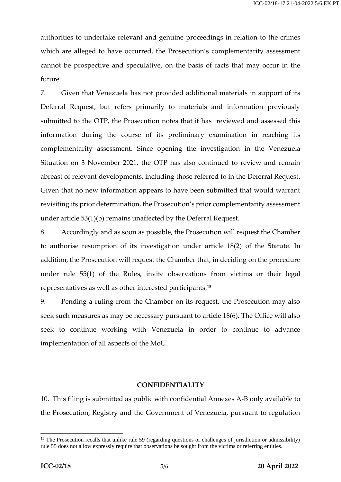authorities to undertake relevant and genuine proceedings in relation to the crimes which are alleged to have occurred, the Prosecution's complementarity assessment cannot be prospective and speculative, on the basis of facts that may occur in the future.

7. Given that Venezuela has not provided additional materials in support of its Deferral Request, but refers primarily to materials and information previously submitted to the OTP, the Prosecution notes that it has reviewed and assessed this information during the course of its preliminary examination in reaching its complementarity assessment. Since opening the investigation in the Venezuela Situation on 3 November 2021, the OTP has also continued to review and remain abreast of relevant developments, including those referred to in the Deferral Request. Given that no new information appears to have been submitted that would warrant revisiting its prior determination, the Prosecution's prior complementarity assessment under article 53(1)(b) remains unaffected by the Deferral Request.

8. Accordingly and as soon as possible, the Prosecution will request the Chamber to authorise resumption of its investigation under article 18(2) of the Statute. In addition, the Prosecution will request the Chamber that, in deciding on the procedure under rule 55(1) of the Rules, invite observations from victims or their legal representatives as well as other interested participants.<sup>15</sup>

9. Pending a ruling from the Chamber on its request, the Prosecution may also seek such measures as may be necessary pursuant to article 18(6). The Office will also seek to continue working with Venezuela in order to continue to advance implementation of all aspects of the MoU.

## **CONFIDENTIALITY**

10. This filing is submitted as public with confidential Annexes A-B only available to the Prosecution, Registry and the Government of Venezuela, pursuant to regulation

 $\overline{a}$ 

<sup>&</sup>lt;sup>15</sup> The Prosecution recalls that unlike rule 59 (regarding questions or challenges of jurisdiction or admissibility) rule 55 does not allow expressly require that observations be sought from the victims or referring entities.